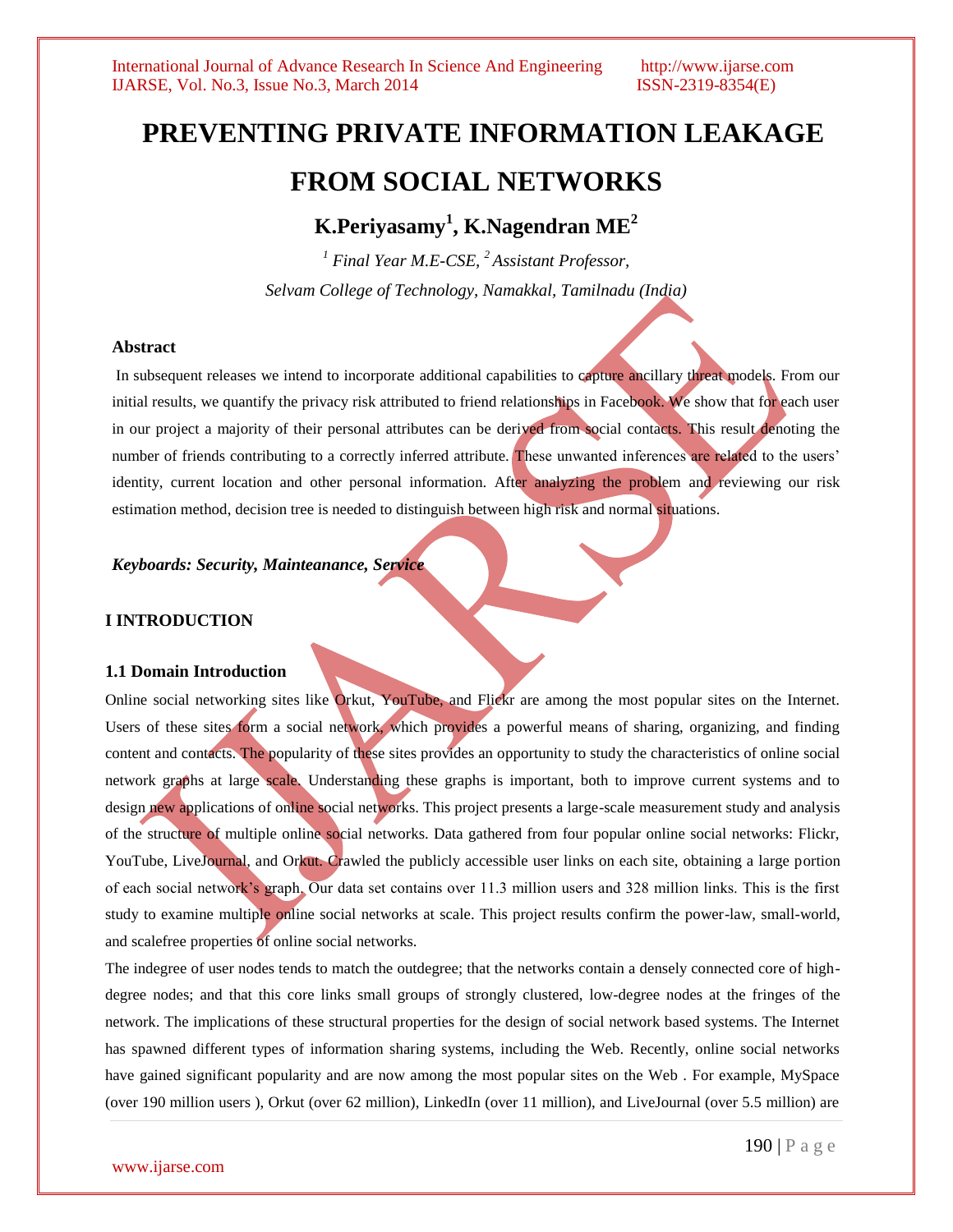# **PREVENTING PRIVATE INFORMATION LEAKAGE FROM SOCIAL NETWORKS**

**K.Periyasamy<sup>1</sup> , K.Nagendran ME<sup>2</sup>**

*<sup>1</sup> Final Year M.E-CSE, <sup>2</sup>Assistant Professor, Selvam College of Technology, Namakkal, Tamilnadu (India)*

### **Abstract**

In subsequent releases we intend to incorporate additional capabilities to capture ancillary threat models. From our initial results, we quantify the privacy risk attributed to friend relationships in Facebook. We show that for each user in our project a majority of their personal attributes can be derived from social contacts. This result denoting the number of friends contributing to a correctly inferred attribute. These unwanted inferences are related to the users' identity, current location and other personal information. After analyzing the problem and reviewing our risk estimation method, decision tree is needed to distinguish between high risk and normal situations.

*Keyboards: Security, Mainteanance, Service* 

## **I INTRODUCTION**

### **1.1 Domain Introduction**

Online social networking sites like Orkut, YouTube, and Flickr are among the most popular sites on the Internet. Users of these sites form a social network, which provides a powerful means of sharing, organizing, and finding content and contacts. The popularity of these sites provides an opportunity to study the characteristics of online social network graphs at large scale. Understanding these graphs is important, both to improve current systems and to design new applications of online social networks. This project presents a large-scale measurement study and analysis of the structure of multiple online social networks. Data gathered from four popular online social networks: Flickr, YouTube, LiveJournal, and Orkut. Crawled the publicly accessible user links on each site, obtaining a large portion of each social network's graph. Our data set contains over 11.3 million users and 328 million links. This is the first study to examine multiple online social networks at scale. This project results confirm the power-law, small-world, and scalefree properties of online social networks.

The indegree of user nodes tends to match the outdegree; that the networks contain a densely connected core of highdegree nodes; and that this core links small groups of strongly clustered, low-degree nodes at the fringes of the network. The implications of these structural properties for the design of social network based systems. The Internet has spawned different types of information sharing systems, including the Web. Recently, online social networks have gained significant popularity and are now among the most popular sites on the Web . For example, MySpace (over 190 million users ), Orkut (over 62 million), LinkedIn (over 11 million), and LiveJournal (over 5.5 million) are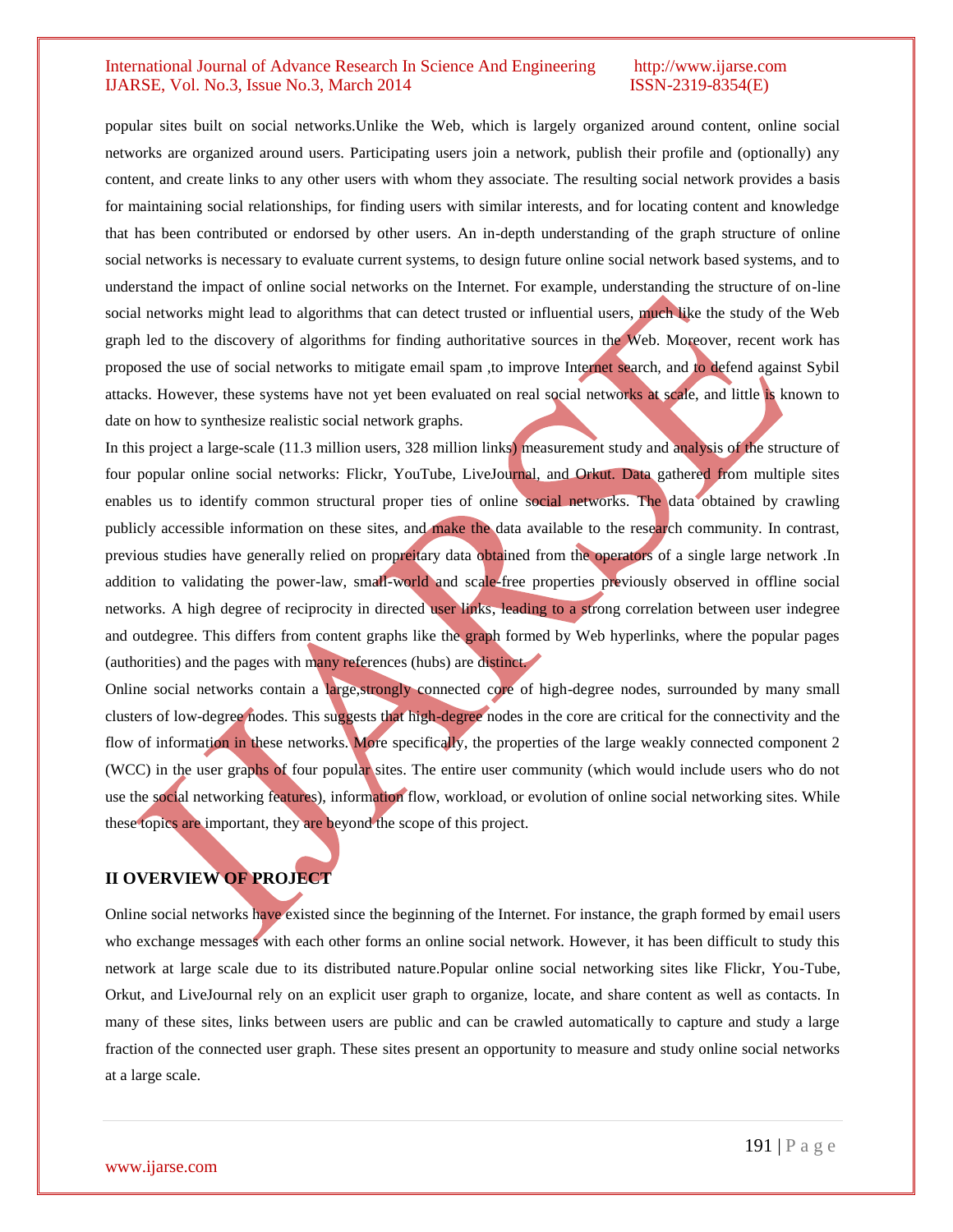popular sites built on social networks.Unlike the Web, which is largely organized around content, online social networks are organized around users. Participating users join a network, publish their profile and (optionally) any content, and create links to any other users with whom they associate. The resulting social network provides a basis for maintaining social relationships, for finding users with similar interests, and for locating content and knowledge that has been contributed or endorsed by other users. An in-depth understanding of the graph structure of online social networks is necessary to evaluate current systems, to design future online social network based systems, and to understand the impact of online social networks on the Internet. For example, understanding the structure of on-line social networks might lead to algorithms that can detect trusted or influential users, much like the study of the Web graph led to the discovery of algorithms for finding authoritative sources in the Web. Moreover, recent work has proposed the use of social networks to mitigate email spam ,to improve Internet search, and to defend against Sybil attacks. However, these systems have not yet been evaluated on real social networks at scale, and little is known to date on how to synthesize realistic social network graphs.

In this project a large-scale (11.3 million users, 328 million links) measurement study and analysis of the structure of four popular online social networks: Flickr, YouTube, LiveJournal, and Orkut. Data gathered from multiple sites enables us to identify common structural proper ties of online social networks. The data obtained by crawling publicly accessible information on these sites, and make the data available to the research community. In contrast, previous studies have generally relied on propreitary data obtained from the operators of a single large network .In addition to validating the power-law, small-world and scale-free properties previously observed in offline social networks. A high degree of reciprocity in directed user links, leading to a strong correlation between user indegree and outdegree. This differs from content graphs like the graph formed by Web hyperlinks, where the popular pages (authorities) and the pages with many references (hubs) are distinct.

Online social networks contain a large, strongly connected core of high-degree nodes, surrounded by many small clusters of low-degree nodes. This suggests that high-degree nodes in the core are critical for the connectivity and the flow of information in these networks. More specifically, the properties of the large weakly connected component 2 (WCC) in the user graphs of four popular sites. The entire user community (which would include users who do not use the social networking features), information flow, workload, or evolution of online social networking sites. While these topics are important, they are beyond the scope of this project.

# **II OVERVIEW OF PROJECT**

Online social networks have existed since the beginning of the Internet. For instance, the graph formed by email users who exchange messages with each other forms an online social network. However, it has been difficult to study this network at large scale due to its distributed nature.Popular online social networking sites like Flickr, You-Tube, Orkut, and LiveJournal rely on an explicit user graph to organize, locate, and share content as well as contacts. In many of these sites, links between users are public and can be crawled automatically to capture and study a large fraction of the connected user graph. These sites present an opportunity to measure and study online social networks at a large scale.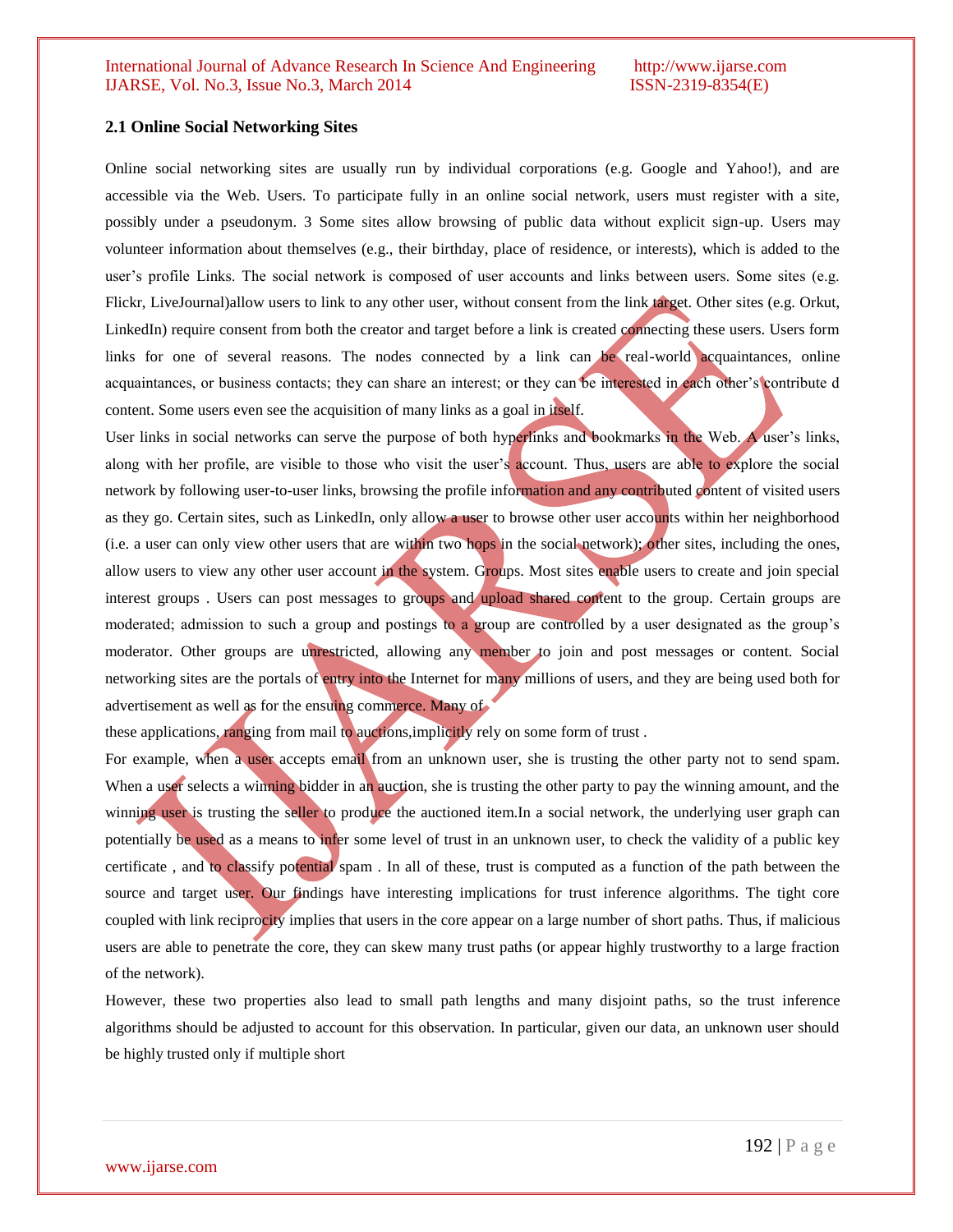# **2.1 Online Social Networking Sites**

Online social networking sites are usually run by individual corporations (e.g. Google and Yahoo!), and are accessible via the Web. Users. To participate fully in an online social network, users must register with a site, possibly under a pseudonym. 3 Some sites allow browsing of public data without explicit sign-up. Users may volunteer information about themselves (e.g., their birthday, place of residence, or interests), which is added to the user's profile Links. The social network is composed of user accounts and links between users. Some sites (e.g. Flickr, LiveJournal)allow users to link to any other user, without consent from the link target. Other sites (e.g. Orkut, LinkedIn) require consent from both the creator and target before a link is created connecting these users. Users form links for one of several reasons. The nodes connected by a link can be real-world acquaintances, online acquaintances, or business contacts; they can share an interest; or they can be interested in each other's contribute d content. Some users even see the acquisition of many links as a goal in itself.

User links in social networks can serve the purpose of both hyperlinks and bookmarks in the Web. A user's links, along with her profile, are visible to those who visit the user's account. Thus, users are able to explore the social network by following user-to-user links, browsing the profile information and any contributed content of visited users as they go. Certain sites, such as LinkedIn, only allow a user to browse other user accounts within her neighborhood (i.e. a user can only view other users that are within two hops in the social network); other sites, including the ones, allow users to view any other user account in the system. Groups. Most sites enable users to create and join special interest groups . Users can post messages to groups and upload shared content to the group. Certain groups are moderated; admission to such a group and postings to a group are controlled by a user designated as the group's moderator. Other groups are unrestricted, allowing any member to join and post messages or content. Social networking sites are the portals of entry into the Internet for many millions of users, and they are being used both for advertisement as well as for the ensuing commerce. Many of

these applications, ranging from mail to auctions, implicitly rely on some form of trust.

For example, when a user accepts email from an unknown user, she is trusting the other party not to send spam. When a user selects a winning bidder in an auction, she is trusting the other party to pay the winning amount, and the winning user is trusting the seller to produce the auctioned item.In a social network, the underlying user graph can potentially be used as a means to infer some level of trust in an unknown user, to check the validity of a public key certificate , and to classify potential spam . In all of these, trust is computed as a function of the path between the source and target user. Our findings have interesting implications for trust inference algorithms. The tight core coupled with link reciprocity implies that users in the core appear on a large number of short paths. Thus, if malicious users are able to penetrate the core, they can skew many trust paths (or appear highly trustworthy to a large fraction of the network).

However, these two properties also lead to small path lengths and many disjoint paths, so the trust inference algorithms should be adjusted to account for this observation. In particular, given our data, an unknown user should be highly trusted only if multiple short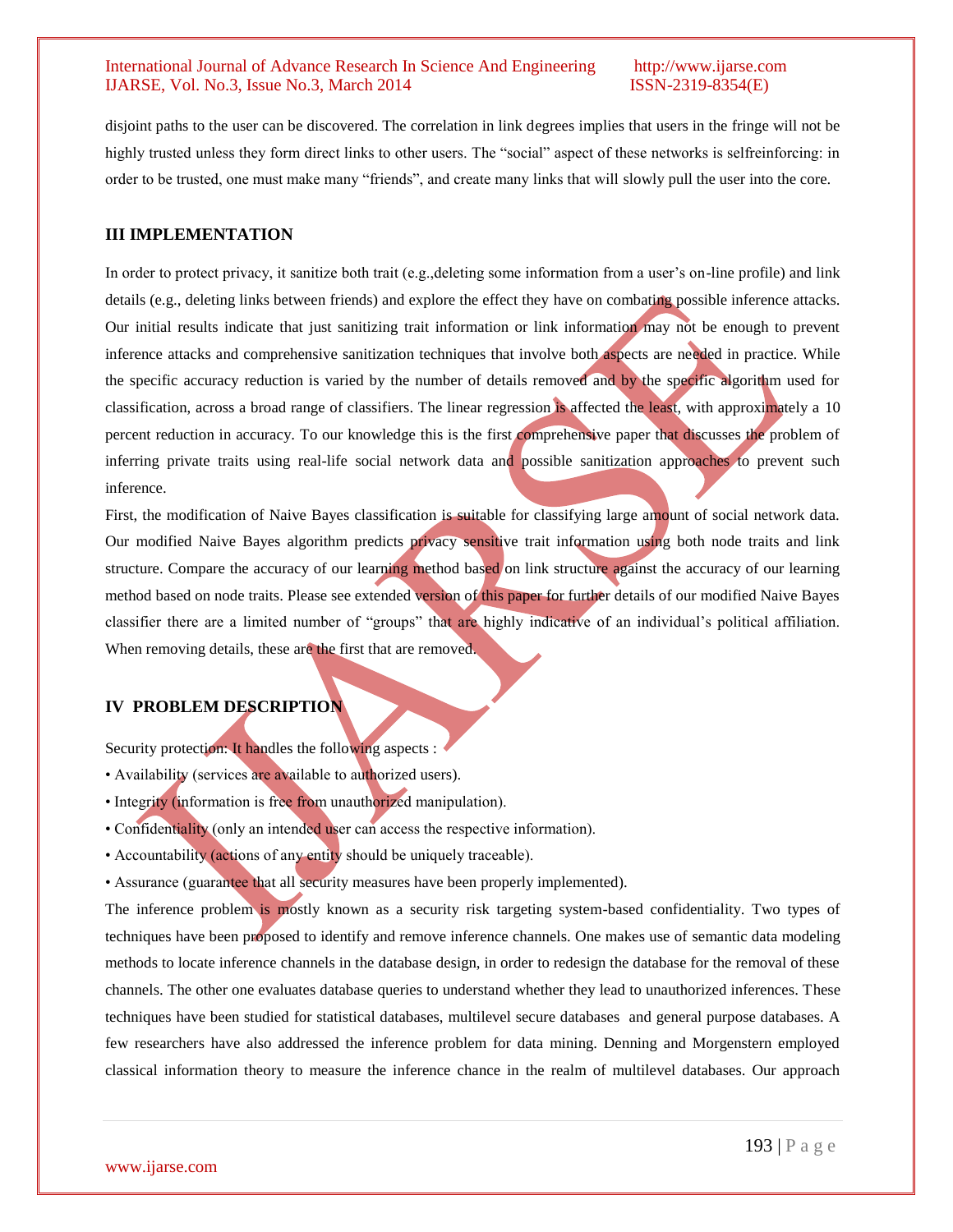disjoint paths to the user can be discovered. The correlation in link degrees implies that users in the fringe will not be highly trusted unless they form direct links to other users. The "social" aspect of these networks is selfreinforcing: in order to be trusted, one must make many "friends", and create many links that will slowly pull the user into the core.

## **III IMPLEMENTATION**

In order to protect privacy, it sanitize both trait (e.g.,deleting some information from a user's on-line profile) and link details (e.g., deleting links between friends) and explore the effect they have on combating possible inference attacks. Our initial results indicate that just sanitizing trait information or link information may not be enough to prevent inference attacks and comprehensive sanitization techniques that involve both aspects are needed in practice. While the specific accuracy reduction is varied by the number of details removed and by the specific algorithm used for classification, across a broad range of classifiers. The linear regression is affected the least, with approximately a 10 percent reduction in accuracy. To our knowledge this is the first comprehensive paper that discusses the problem of inferring private traits using real-life social network data and possible sanitization approaches to prevent such inference.

First, the modification of Naive Bayes classification is suitable for classifying large amount of social network data. Our modified Naive Bayes algorithm predicts privacy sensitive trait information using both node traits and link structure. Compare the accuracy of our learning method based on link structure against the accuracy of our learning method based on node traits. Please see extended version of this paper for further details of our modified Naive Bayes classifier there are a limited number of "groups" that are highly indicative of an individual's political affiliation. When removing details, these are the first that are removed.

# **IV PROBLEM DESCRIPTION**

Security protection: It handles the following aspects :

- Availability (services are available to authorized users).
- Integrity (information is free from unauthorized manipulation).
- Confidentiality (only an intended user can access the respective information).
- Accountability (actions of any entity should be uniquely traceable).
- Assurance (guarantee that all security measures have been properly implemented).

The inference problem is mostly known as a security risk targeting system-based confidentiality. Two types of techniques have been proposed to identify and remove inference channels. One makes use of semantic data modeling methods to locate inference channels in the database design, in order to redesign the database for the removal of these channels. The other one evaluates database queries to understand whether they lead to unauthorized inferences. These techniques have been studied for statistical databases, multilevel secure databases and general purpose databases. A few researchers have also addressed the inference problem for data mining. Denning and Morgenstern employed classical information theory to measure the inference chance in the realm of multilevel databases. Our approach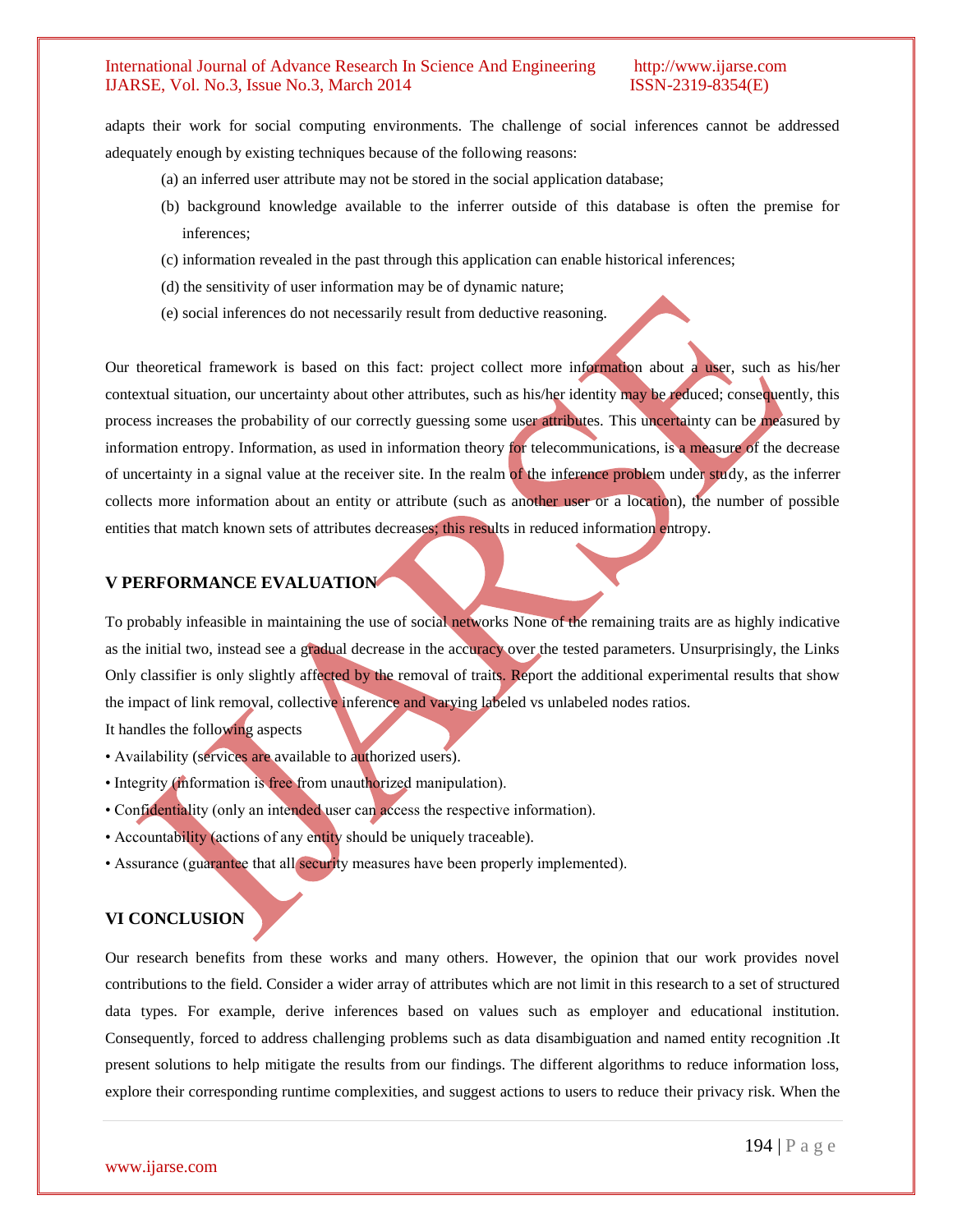adapts their work for social computing environments. The challenge of social inferences cannot be addressed adequately enough by existing techniques because of the following reasons:

- (a) an inferred user attribute may not be stored in the social application database;
- (b) background knowledge available to the inferrer outside of this database is often the premise for inferences;
- (c) information revealed in the past through this application can enable historical inferences;
- (d) the sensitivity of user information may be of dynamic nature;
- (e) social inferences do not necessarily result from deductive reasoning.

Our theoretical framework is based on this fact: project collect more information about a user, such as his/her contextual situation, our uncertainty about other attributes, such as his/her identity may be reduced; consequently, this process increases the probability of our correctly guessing some user attributes. This uncertainty can be measured by information entropy. Information, as used in information theory for telecommunications, is a measure of the decrease of uncertainty in a signal value at the receiver site. In the realm of the inference problem under study, as the inferrer collects more information about an entity or attribute (such as another user or a location), the number of possible entities that match known sets of attributes decreases; this results in reduced information entropy.

# **V PERFORMANCE EVALUATION**

To probably infeasible in maintaining the use of social networks None of the remaining traits are as highly indicative as the initial two, instead see a gradual decrease in the accuracy over the tested parameters. Unsurprisingly, the Links Only classifier is only slightly affected by the removal of traits. Report the additional experimental results that show the impact of link removal, collective inference and varying labeled vs unlabeled nodes ratios.

It handles the following aspects

- Availability (services are available to authorized users).
- Integrity (information is free from unauthorized manipulation).
- Confidentiality (only an intended user can access the respective information).
- Accountability (actions of any entity should be uniquely traceable).
- Assurance (guarantee that all security measures have been properly implemented).

# **VI CONCLUSION**

Our research benefits from these works and many others. However, the opinion that our work provides novel contributions to the field. Consider a wider array of attributes which are not limit in this research to a set of structured data types. For example, derive inferences based on values such as employer and educational institution. Consequently, forced to address challenging problems such as data disambiguation and named entity recognition .It present solutions to help mitigate the results from our findings. The different algorithms to reduce information loss, explore their corresponding runtime complexities, and suggest actions to users to reduce their privacy risk. When the